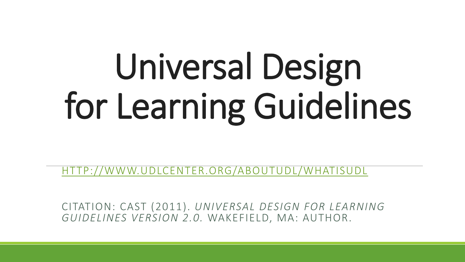# Universal Design for Learning Guidelines

[HTTP://WWW.UDLCENTER.ORG/ABOUTUDL/WHATISUDL](http://www.udlcenter.org/aboutudl/whatisudl)

CITATION: CAST (2011). *UNIVERSAL DESIGN FOR LEARNING GUIDELINES VERSION 2.0.* WAKEFIELD, MA: AUTHOR.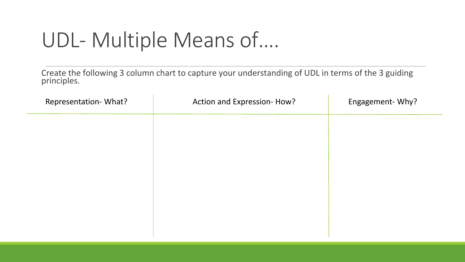### UDL- Multiple Means of….

Create the following 3 column chart to capture your understanding of UDL in terms of the 3 guiding principles.

| Representation- What? | Action and Expression-How? | Engagement-Why? |
|-----------------------|----------------------------|-----------------|
|                       |                            |                 |
|                       |                            |                 |
|                       |                            |                 |
|                       |                            |                 |
|                       |                            |                 |
|                       |                            |                 |
|                       |                            |                 |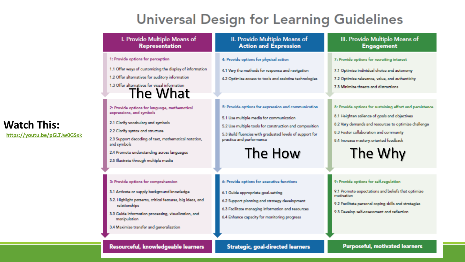#### **Universal Design for Learning Guidelines**

| I. Provide Multiple Means of<br><b>Representation</b>                                                                                                                                                                                                                                                             | II. Provide Multiple Means of<br><b>Action and Expression</b>                                                                                                                                                                                                 | III. Provide Multiple Means of<br><b>Engagement</b>                                                                                                                                                                                                              |
|-------------------------------------------------------------------------------------------------------------------------------------------------------------------------------------------------------------------------------------------------------------------------------------------------------------------|---------------------------------------------------------------------------------------------------------------------------------------------------------------------------------------------------------------------------------------------------------------|------------------------------------------------------------------------------------------------------------------------------------------------------------------------------------------------------------------------------------------------------------------|
| 1: Provide options for perception                                                                                                                                                                                                                                                                                 | 4: Provide options for physical action                                                                                                                                                                                                                        | 7: Provide options for recruiting interest                                                                                                                                                                                                                       |
| 1.1 Offer ways of customizing the display of information<br>1.2 Offer alternatives for auditory information<br>1.3 Offer alternatives for visual information<br>The What                                                                                                                                          | 4.1 Vary the methods for response and navigation<br>4.2 Optimize access to tools and assistive technologies                                                                                                                                                   | 7.1 Optimize individual choice and autonomy<br>7.2 Optimize relevance, value, and authenticity<br>7.3 Minimize threats and distractions                                                                                                                          |
| 2: Provide options for language, mathematical<br>expressions, and symbols<br>2.1 Clarify vocabulary and symbols<br>2.2 Clarify syntax and structure<br>2.3 Support decoding of text, mathematical notation,<br>and symbols<br>2.4 Promote understanding across languages<br>2.5 Illustrate through multiple media | 5: Provide options for expression and communication<br>5.1 Use multiple media for communication<br>5.2 Use multiple tools for construction and composition<br>5.3 Build fluencies with graduated levels of support for<br>practice and performance<br>The How | 8: Provide options for sustaining effort and persistence<br>8.1 Heighten salience of goals and objectives<br>8.2 Vary demands and resources to optimize challenge<br>8.3 Foster collaboration and community<br>8.4 Increase mastery-oriented feedback<br>The Why |
| 3: Provide options for comprehension<br>3.1 Activate or supply background knowledge<br>3.2. Highlight patterns, critical features, big ideas, and<br>relationships<br>3.3 Guide information processing, visualization, and<br>manipulation<br>3.4 Maximize transfer and generalization                            | 6: Provide options for executive functions<br>6.1 Guide appropriate goal-setting<br>6.2 Support planning and strategy development<br>6.3 Facilitate managing information and resources<br>6.4 Enhance capacity for monitoring progress                        | 9: Provide options for self-regulation<br>9.1 Promote expectations and beliefs that optimize<br>motivation<br>9.2 Facilitate personal coping skills and strategies<br>9.3 Develop self-assessment and reflection                                                 |

#### **Watch This:**

**<https://youtu.be/pGLTJw0GSxk>**

#### Resourceful, knowledgeable learners

#### Strategic, goal-directed learners

Purposeful, motivated learners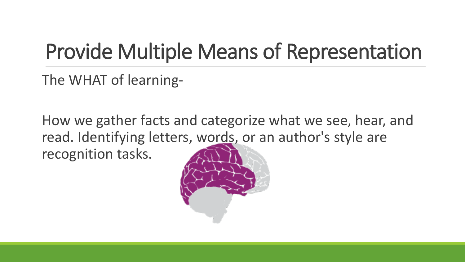# Provide Multiple Means of Representation

The WHAT of learning-

How we gather facts and categorize what we see, hear, and read. Identifying letters, words, or an author's style are recognition tasks.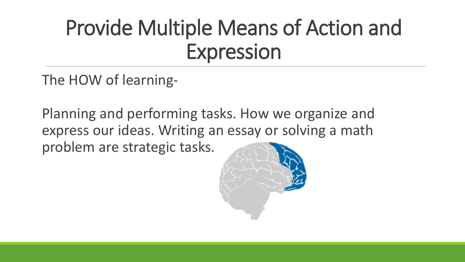# Provide Multiple Means of Action and Expression

The HOW of learning-

Planning and performing tasks. How we organize and express our ideas. Writing an essay or solving a math problem are strategic tasks.

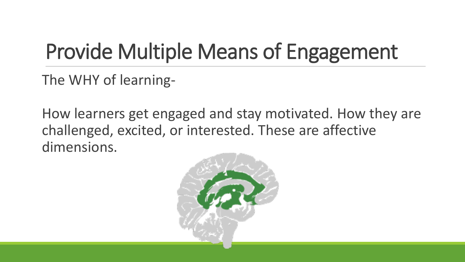# Provide Multiple Means of Engagement

The WHY of learning-

How learners get engaged and stay motivated. How they are challenged, excited, or interested. These are affective dimensions.

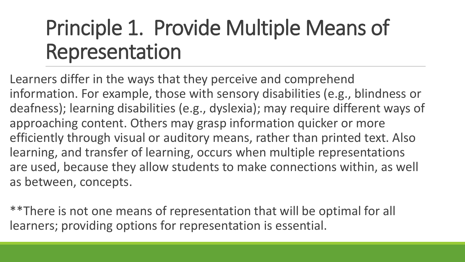# Principle 1. Provide Multiple Means of Representation

Learners differ in the ways that they perceive and comprehend information. For example, those with sensory disabilities (e.g., blindness or deafness); learning disabilities (e.g., dyslexia); may require different ways of approaching content. Others may grasp information quicker or more efficiently through visual or auditory means, rather than printed text. Also learning, and transfer of learning, occurs when multiple representations are used, because they allow students to make connections within, as well as between, concepts.

\*\*There is not one means of representation that will be optimal for all learners; providing options for representation is essential.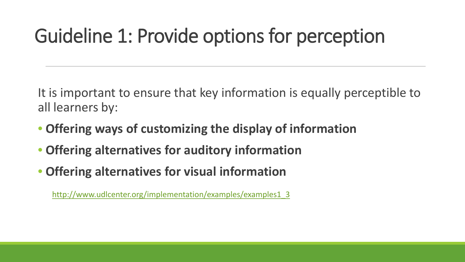#### Guideline 1: Provide options for perception

It is important to ensure that key information is equally perceptible to all learners by:

- **Offering ways of customizing the display of information**
- **Offering alternatives for auditory information**
- **Offering alternatives for visual information**

[http://www.udlcenter.org/implementation/examples/examples1\\_3](http://www.udlcenter.org/implementation/examples/examples1_3)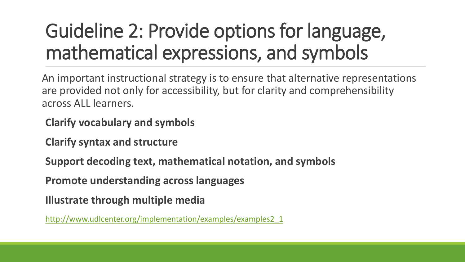### Guideline 2: Provide options for language, mathematical expressions, and symbols

An important instructional strategy is to ensure that alternative representations are provided not only for accessibility, but for clarity and comprehensibility across ALL learners.

**Clarify vocabulary and symbols**

**Clarify syntax and structure**

**Support decoding text, mathematical notation, and symbols**

**Promote understanding across languages**

**Illustrate through multiple media** 

[http://www.udlcenter.org/implementation/examples/examples2\\_1](http://www.udlcenter.org/implementation/examples/examples2_1)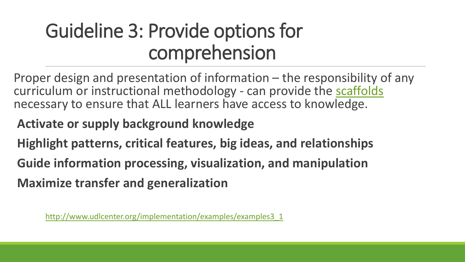#### Guideline 3: Provide options for comprehension

- Proper design and presentation of information the responsibility of any curriculum or instructional methodology - can provide the [scaffolds](http://www.udlcenter.org/glossaries/glossary_eng#scaffold) necessary to ensure that ALL learners have access to knowledge.
- **Activate or supply background knowledge**
- **Highlight patterns, critical features, big ideas, and relationships**
- **Guide information processing, visualization, and manipulation**
- **Maximize transfer and generalization**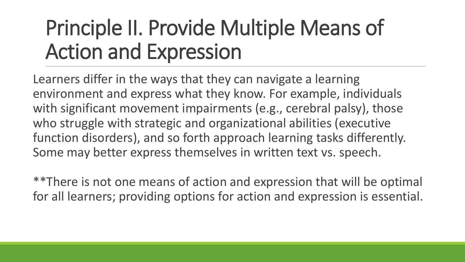# Principle II. Provide Multiple Means of Action and Expression

Learners differ in the ways that they can navigate a learning environment and express what they know. For example, individuals with significant movement impairments (e.g., cerebral palsy), those who struggle with strategic and organizational abilities (executive function disorders), and so forth approach learning tasks differently. Some may better express themselves in written text vs. speech.

\*\*There is not one means of action and expression that will be optimal for all learners; providing options for action and expression is essential.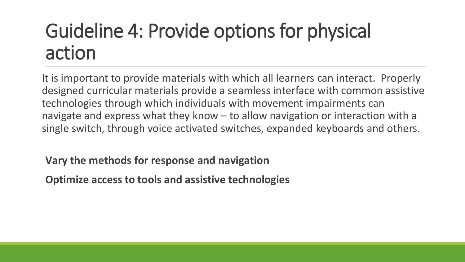#### Guideline 4: Provide options for physical action

It is important to provide materials with which all learners can interact. Properly designed curricular materials provide a seamless interface with common assistive technologies through which individuals with movement impairments can navigate and express what they know – to allow navigation or interaction with a single switch, through voice activated switches, expanded keyboards and others.

**Vary the methods for response and navigation**

**Optimize access to tools and assistive technologies**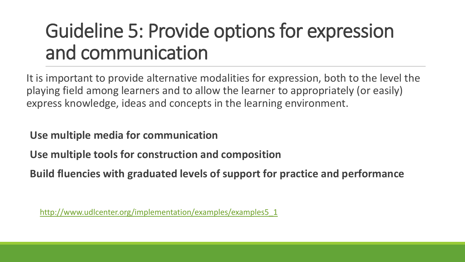#### Guideline 5: Provide options for expression and communication

It is important to provide alternative modalities for expression, both to the level the playing field among learners and to allow the learner to appropriately (or easily) express knowledge, ideas and concepts in the learning environment.

**Use multiple media for communication**

**Use multiple tools for construction and composition**

**Build fluencies with graduated levels of support for practice and performance**

[http://www.udlcenter.org/implementation/examples/examples5\\_1](http://www.udlcenter.org/implementation/examples/examples5_1)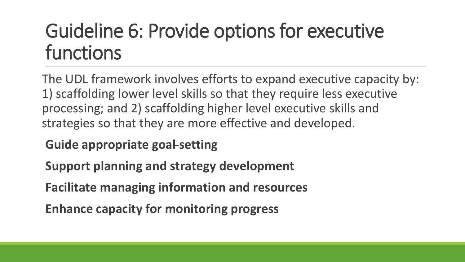#### Guideline 6: Provide options for executive functions

The UDL framework involves efforts to expand executive capacity by: 1) scaffolding lower level skills so that they require less executive processing; and 2) scaffolding higher level executive skills and strategies so that they are more effective and developed.

#### **Guide appropriate goal-setting**

**Support planning and strategy development**

**Facilitate managing information and resources**

**Enhance capacity for monitoring progress**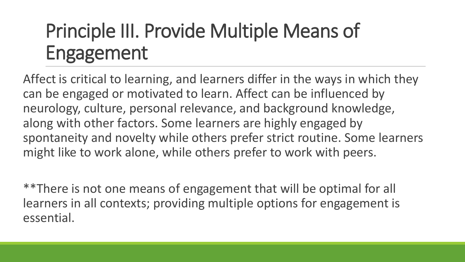### Principle III. Provide Multiple Means of Engagement

Affect is critical to learning, and learners differ in the ways in which they can be engaged or motivated to learn. Affect can be influenced by neurology, culture, personal relevance, and background knowledge, along with other factors. Some learners are highly engaged by spontaneity and novelty while others prefer strict routine. Some learners might like to work alone, while others prefer to work with peers.

\*\*There is not one means of engagement that will be optimal for all learners in all contexts; providing multiple options for engagement is essential.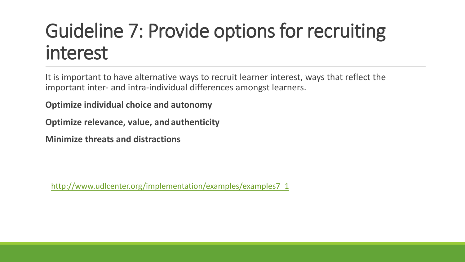#### Guideline 7: Provide options for recruiting interest

It is important to have alternative ways to recruit learner interest, ways that reflect the important inter- and intra-individual differences amongst learners.

**Optimize individual choice and autonomy**

**Optimize relevance, value, and authenticity**

**Minimize threats and distractions**

[http://www.udlcenter.org/implementation/examples/examples7\\_1](http://www.udlcenter.org/implementation/examples/examples7_1)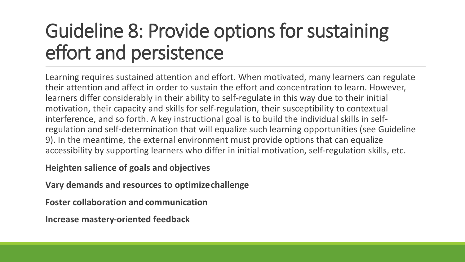#### Guideline 8: Provide options for sustaining effort and persistence

Learning requires sustained attention and effort. When motivated, many learners can regulate their attention and affect in order to sustain the effort and concentration to learn. However, learners differ considerably in their ability to self-regulate in this way due to their initial motivation, their capacity and skills for self-regulation, their susceptibility to contextual interference, and so forth. A key instructional goal is to build the individual skills in selfregulation and self-determination that will equalize such learning opportunities (see Guideline 9). In the meantime, the external environment must provide options that can equalize accessibility by supporting learners who differ in initial motivation, self-regulation skills, etc.

**Heighten salience of goals and objectives**

**Vary demands and resources to optimize challenge**

**Foster collaboration and communication**

**Increase mastery-oriented feedback**